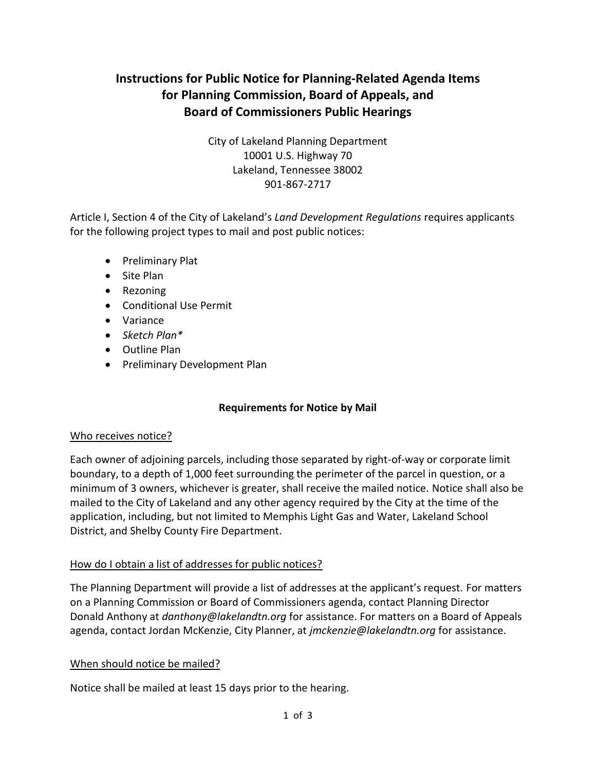# **Instructions for Public Notice for Planning-Related Agenda Items for Planning Commission, Board of Appeals, and Board of Commissioners Public Hearings**

City of Lakeland Planning Department 10001 U.S. Highway 70 Lakeland, Tennessee 38002 901-867-2717

Article I, Section 4 of the City of Lakeland's *Land Development Regulations* requires applicants for the following project types to mail and post public notices:

- Preliminary Plat
- Site Plan
- Rezoning
- Conditional Use Permit
- Variance
- *Sketch Plan\**
- Outline Plan
- Preliminary Development Plan

#### **Requirements for Notice by Mail**

#### Who receives notice?

Each owner of adjoining parcels, including those separated by right-of-way or corporate limit boundary, to a depth of 1,000 feet surrounding the perimeter of the parcel in question, or a minimum of 3 owners, whichever is greater, shall receive the mailed notice. Notice shall also be mailed to the City of Lakeland and any other agency required by the City at the time of the application, including, but not limited to Memphis Light Gas and Water, Lakeland School District, and Shelby County Fire Department.

#### How do I obtain a list of addresses for public notices?

The Planning Department will provide a list of addresses at the applicant's request. For matters on a Planning Commission or Board of Commissioners agenda, contact Planning Director Donald Anthony at *danthony@lakelandtn.org* for assistance. For matters on a Board of Appeals agenda, contact Jordan McKenzie, City Planner, at *jmckenzie@lakelandtn.org* for assistance.

#### When should notice be mailed?

Notice shall be mailed at least 15 days prior to the hearing.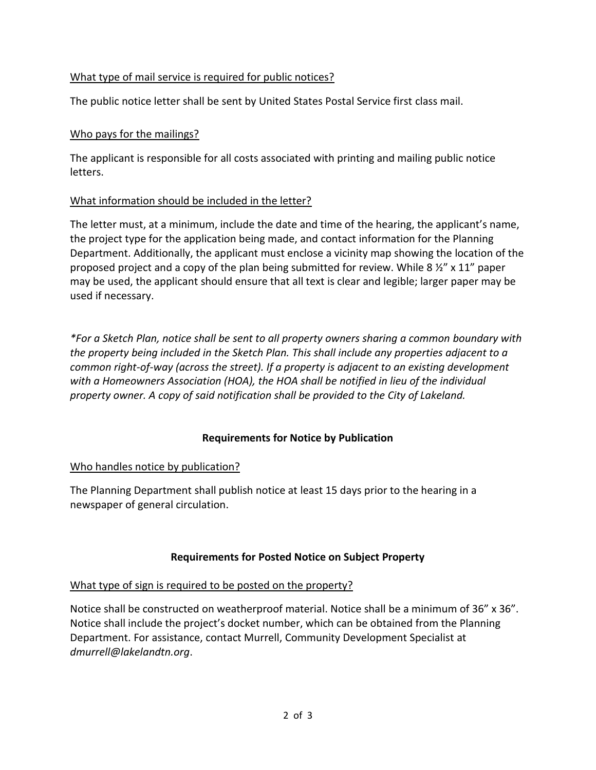# What type of mail service is required for public notices?

The public notice letter shall be sent by United States Postal Service first class mail.

# Who pays for the mailings?

The applicant is responsible for all costs associated with printing and mailing public notice letters.

#### What information should be included in the letter?

The letter must, at a minimum, include the date and time of the hearing, the applicant's name, the project type for the application being made, and contact information for the Planning Department. Additionally, the applicant must enclose a vicinity map showing the location of the proposed project and a copy of the plan being submitted for review. While 8 ½" x 11" paper may be used, the applicant should ensure that all text is clear and legible; larger paper may be used if necessary.

*\*For a Sketch Plan, notice shall be sent to all property owners sharing a common boundary with the property being included in the Sketch Plan. This shall include any properties adjacent to a common right-of-way (across the street). If a property is adjacent to an existing development with a Homeowners Association (HOA), the HOA shall be notified in lieu of the individual property owner. A copy of said notification shall be provided to the City of Lakeland.*

# **Requirements for Notice by Publication**

#### Who handles notice by publication?

The Planning Department shall publish notice at least 15 days prior to the hearing in a newspaper of general circulation.

#### **Requirements for Posted Notice on Subject Property**

#### What type of sign is required to be posted on the property?

Notice shall be constructed on weatherproof material. Notice shall be a minimum of 36" x 36". Notice shall include the project's docket number, which can be obtained from the Planning Department. For assistance, contact Murrell, Community Development Specialist at *dmurrell@lakelandtn.org*.